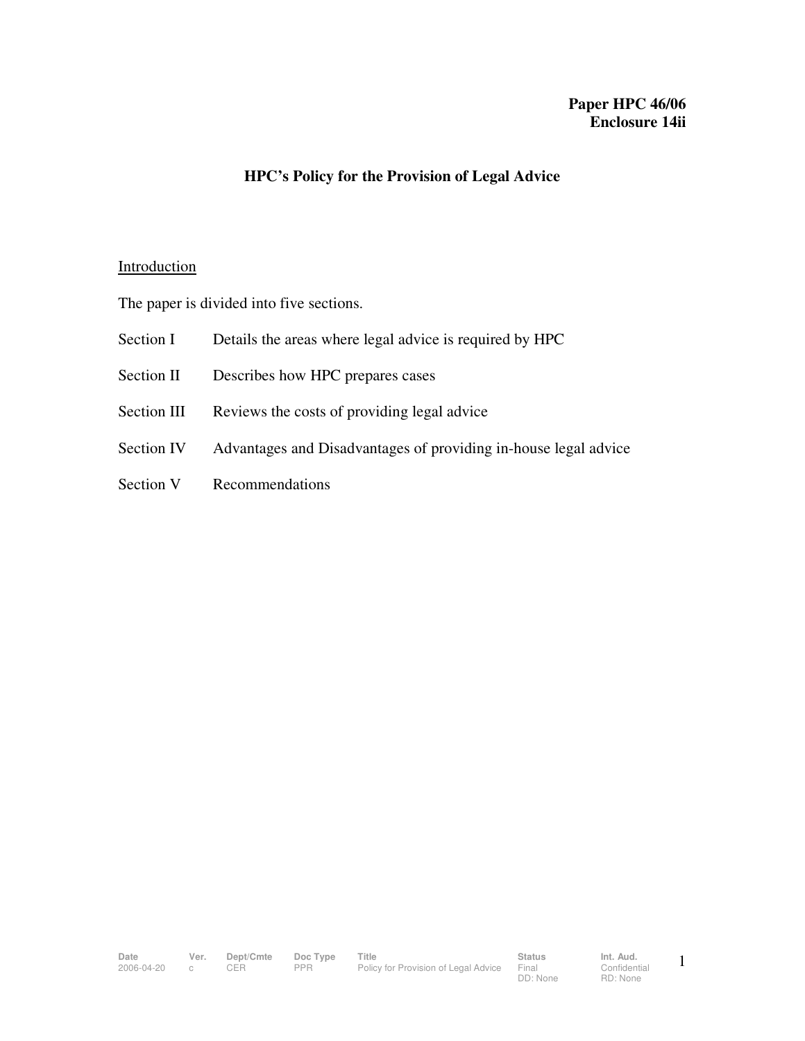## **Paper HPC 46/06 Enclosure 14ii**

## **HPC's Policy for the Provision of Legal Advice**

#### **Introduction**

The paper is divided into five sections.

- Section I Details the areas where legal advice is required by HPC
- Section II Describes how HPC prepares cases
- Section III Reviews the costs of providing legal advice
- Section IV Advantages and Disadvantages of providing in-house legal advice
- Section V Recommendations

Date Ver. Dept/Cmte Doc<sup>T</sup>ype Title **Status** Status Int. Aud. 2006-04-20 c CER PPR Policy for Provision of Legal Advice Final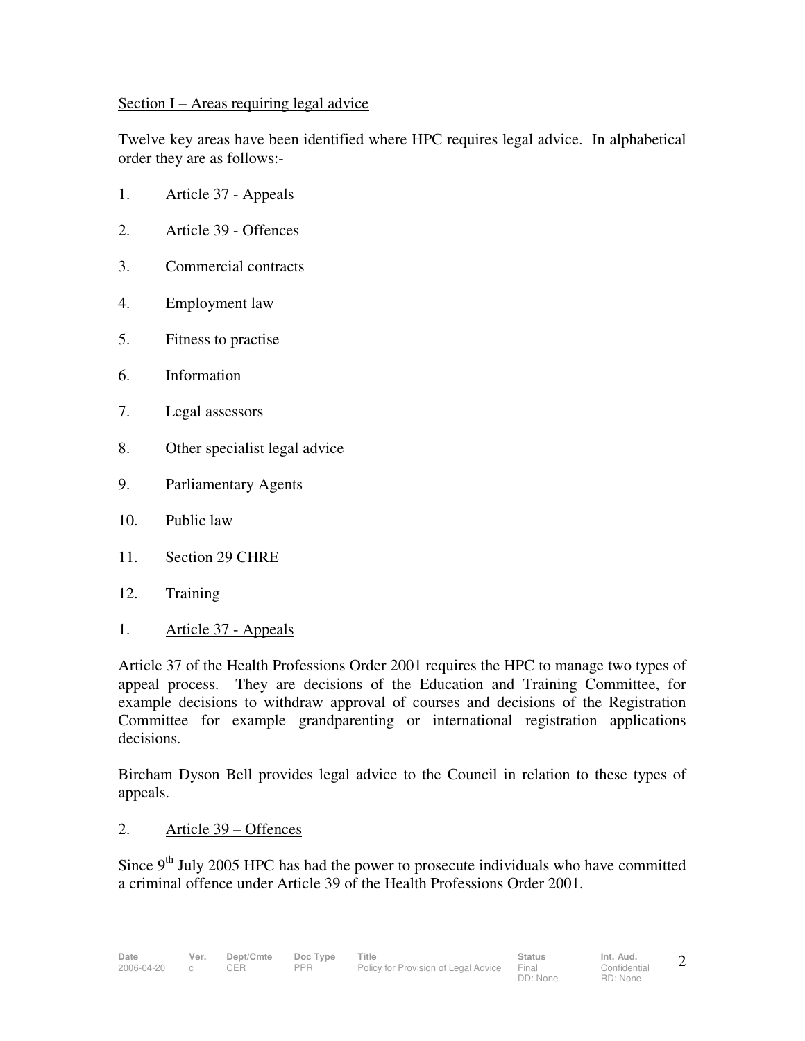### Section I – Areas requiring legal advice

Twelve key areas have been identified where HPC requires legal advice. In alphabetical order they are as follows:-

- 1. Article 37 Appeals
- 2. Article 39 Offences
- 3. Commercial contracts
- 4. Employment law
- 5. Fitness to practise
- 6. Information
- 7. Legal assessors
- 8. Other specialist legal advice
- 9. Parliamentary Agents
- 10. Public law
- 11. Section 29 CHRE
- 12. Training
- 1. Article 37 Appeals

Article 37 of the Health Professions Order 2001 requires the HPC to manage two types of appeal process. They are decisions of the Education and Training Committee, for example decisions to withdraw approval of courses and decisions of the Registration Committee for example grandparenting or international registration applications decisions.

Bircham Dyson Bell provides legal advice to the Council in relation to these types of appeals.

2. Article 39 – Offences

Since  $9<sup>th</sup>$  July 2005 HPC has had the power to prosecute individuals who have committed a criminal offence under Article 39 of the Health Professions Order 2001.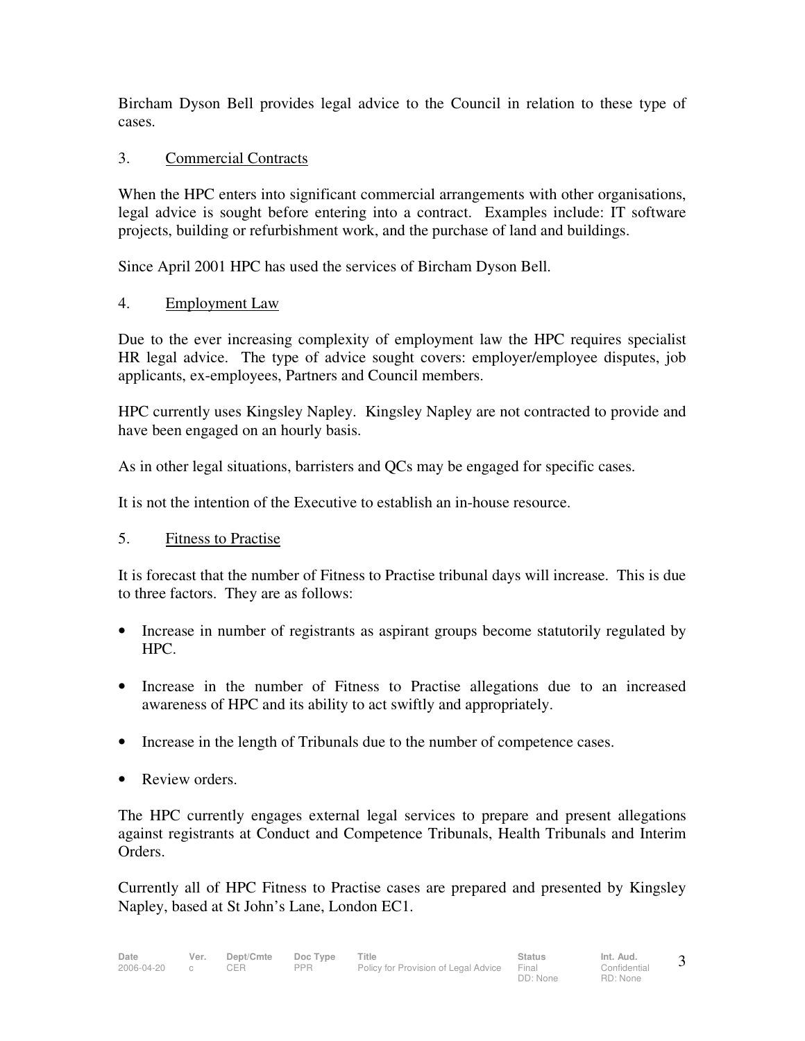Bircham Dyson Bell provides legal advice to the Council in relation to these type of cases.

## 3. Commercial Contracts

When the HPC enters into significant commercial arrangements with other organisations, legal advice is sought before entering into a contract. Examples include: IT software projects, building or refurbishment work, and the purchase of land and buildings.

Since April 2001 HPC has used the services of Bircham Dyson Bell.

# 4. Employment Law

Due to the ever increasing complexity of employment law the HPC requires specialist HR legal advice. The type of advice sought covers: employer/employee disputes, job applicants, ex-employees, Partners and Council members.

HPC currently uses Kingsley Napley. Kingsley Napley are not contracted to provide and have been engaged on an hourly basis.

As in other legal situations, barristers and QCs may be engaged for specific cases.

It is not the intention of the Executive to establish an in-house resource.

## 5. Fitness to Practise

It is forecast that the number of Fitness to Practise tribunal days will increase. This is due to three factors. They are as follows:

- Increase in number of registrants as aspirant groups become statutorily regulated by HPC.
- Increase in the number of Fitness to Practise allegations due to an increased awareness of HPC and its ability to act swiftly and appropriately.
- Increase in the length of Tribunals due to the number of competence cases.
- Review orders.

The HPC currently engages external legal services to prepare and present allegations against registrants at Conduct and Competence Tribunals, Health Tribunals and Interim Orders.

Currently all of HPC Fitness to Practise cases are prepared and presented by Kingsley Napley, based at St John's Lane, London EC1.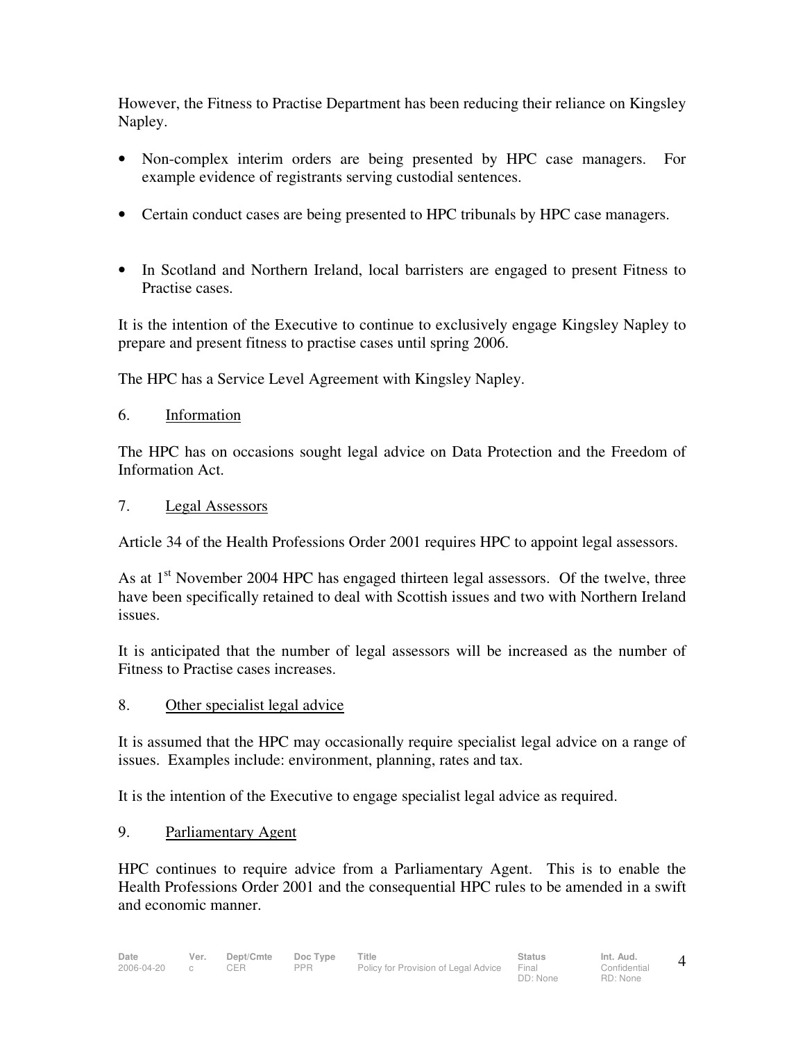However, the Fitness to Practise Department has been reducing their reliance on Kingsley Napley.

- Non-complex interim orders are being presented by HPC case managers. For example evidence of registrants serving custodial sentences.
- Certain conduct cases are being presented to HPC tribunals by HPC case managers.
- In Scotland and Northern Ireland, local barristers are engaged to present Fitness to Practise cases.

It is the intention of the Executive to continue to exclusively engage Kingsley Napley to prepare and present fitness to practise cases until spring 2006.

The HPC has a Service Level Agreement with Kingsley Napley.

6. Information

The HPC has on occasions sought legal advice on Data Protection and the Freedom of Information Act.

7. Legal Assessors

Article 34 of the Health Professions Order 2001 requires HPC to appoint legal assessors.

As at  $1<sup>st</sup>$  November 2004 HPC has engaged thirteen legal assessors. Of the twelve, three have been specifically retained to deal with Scottish issues and two with Northern Ireland issues.

It is anticipated that the number of legal assessors will be increased as the number of Fitness to Practise cases increases.

8. Other specialist legal advice

It is assumed that the HPC may occasionally require specialist legal advice on a range of issues. Examples include: environment, planning, rates and tax.

It is the intention of the Executive to engage specialist legal advice as required.

9. Parliamentary Agent

HPC continues to require advice from a Parliamentary Agent. This is to enable the Health Professions Order 2001 and the consequential HPC rules to be amended in a swift and economic manner.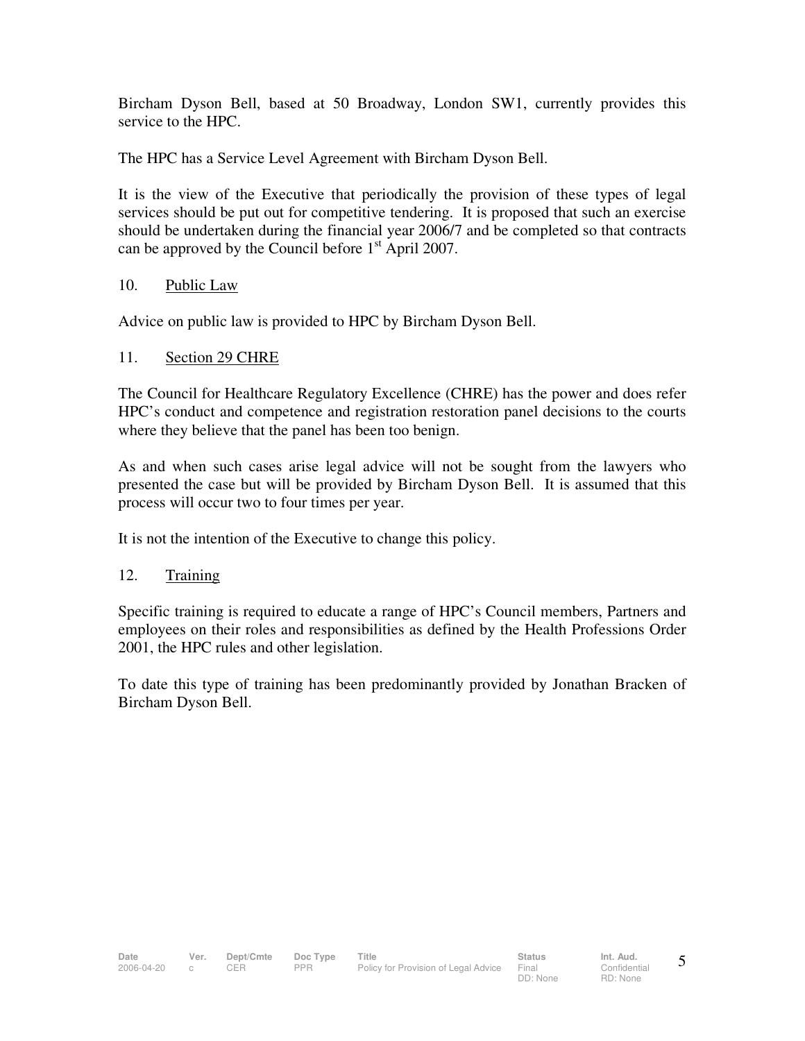Bircham Dyson Bell, based at 50 Broadway, London SW1, currently provides this service to the HPC.

The HPC has a Service Level Agreement with Bircham Dyson Bell.

It is the view of the Executive that periodically the provision of these types of legal services should be put out for competitive tendering. It is proposed that such an exercise should be undertaken during the financial year 2006/7 and be completed so that contracts can be approved by the Council before  $1<sup>st</sup>$  April 2007.

## 10. Public Law

Advice on public law is provided to HPC by Bircham Dyson Bell.

# 11. Section 29 CHRE

The Council for Healthcare Regulatory Excellence (CHRE) has the power and does refer HPC's conduct and competence and registration restoration panel decisions to the courts where they believe that the panel has been too benign.

As and when such cases arise legal advice will not be sought from the lawyers who presented the case but will be provided by Bircham Dyson Bell. It is assumed that this process will occur two to four times per year.

It is not the intention of the Executive to change this policy.

# 12. Training

Specific training is required to educate a range of HPC's Council members, Partners and employees on their roles and responsibilities as defined by the Health Professions Order 2001, the HPC rules and other legislation.

To date this type of training has been predominantly provided by Jonathan Bracken of Bircham Dyson Bell.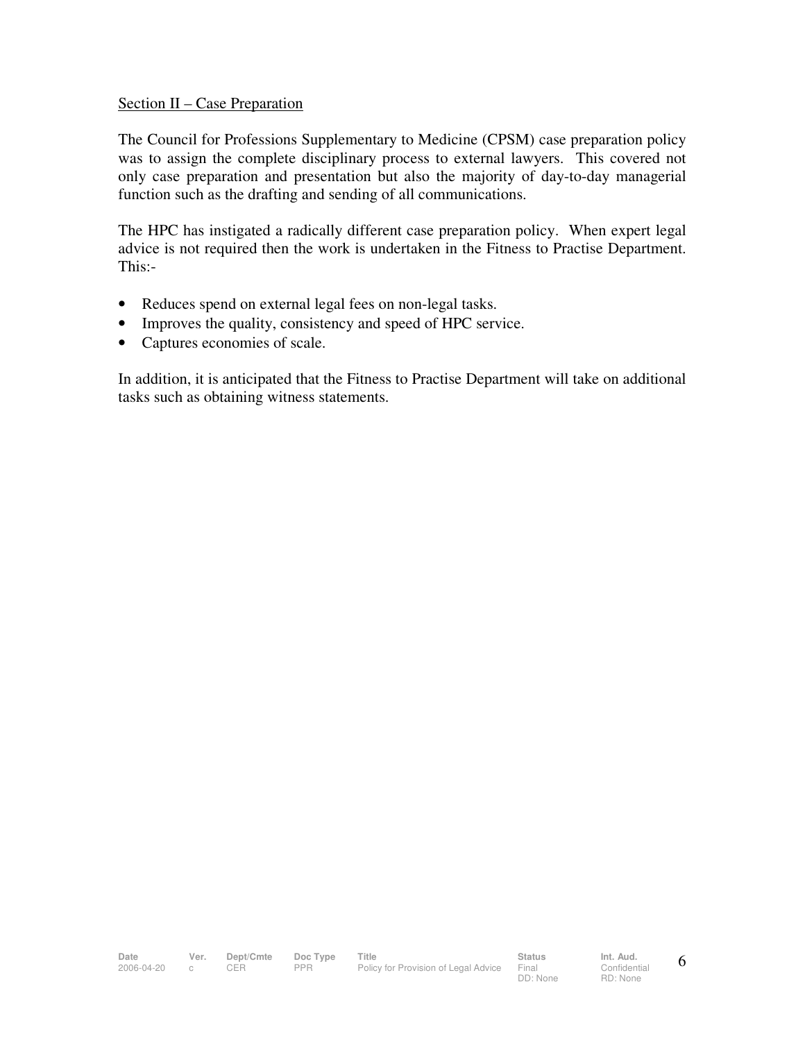#### Section II – Case Preparation

The Council for Professions Supplementary to Medicine (CPSM) case preparation policy was to assign the complete disciplinary process to external lawyers. This covered not only case preparation and presentation but also the majority of day-to-day managerial function such as the drafting and sending of all communications.

The HPC has instigated a radically different case preparation policy. When expert legal advice is not required then the work is undertaken in the Fitness to Practise Department. This:-

- Reduces spend on external legal fees on non-legal tasks.
- Improves the quality, consistency and speed of HPC service.
- Captures economies of scale.

In addition, it is anticipated that the Fitness to Practise Department will take on additional tasks such as obtaining witness statements.

DD: None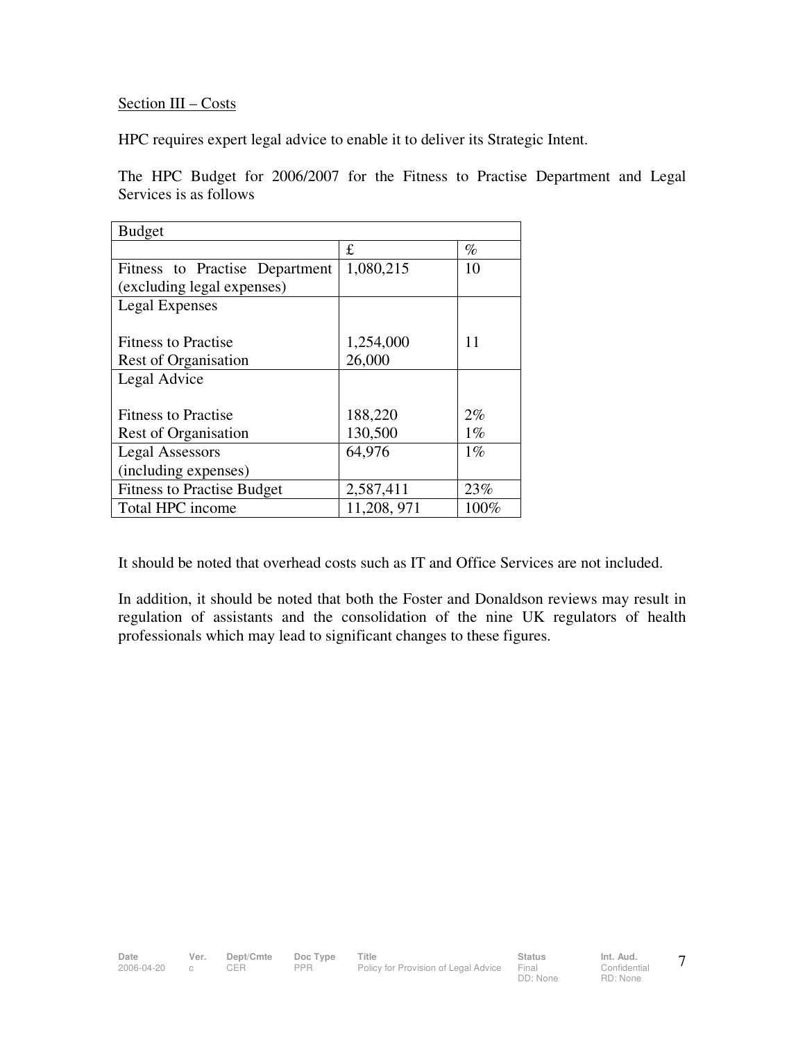# Section III – Costs

HPC requires expert legal advice to enable it to deliver its Strategic Intent.

The HPC Budget for 2006/2007 for the Fitness to Practise Department and Legal Services is as follows

| <b>Budget</b>                     |             |       |
|-----------------------------------|-------------|-------|
|                                   | £           | $\%$  |
| Fitness to Practise Department    | 1,080,215   | 10    |
| (excluding legal expenses)        |             |       |
| Legal Expenses                    |             |       |
|                                   |             |       |
| <b>Fitness to Practise</b>        | 1,254,000   | 11    |
| Rest of Organisation              | 26,000      |       |
| Legal Advice                      |             |       |
|                                   |             |       |
| <b>Fitness to Practise</b>        | 188,220     | 2%    |
| Rest of Organisation              | 130,500     | $1\%$ |
| <b>Legal Assessors</b>            | 64,976      | $1\%$ |
| (including expenses)              |             |       |
| <b>Fitness to Practise Budget</b> | 2,587,411   | 23%   |
| Total HPC income                  | 11,208, 971 | 100%  |

It should be noted that overhead costs such as IT and Office Services are not included.

In addition, it should be noted that both the Foster and Donaldson reviews may result in regulation of assistants and the consolidation of the nine UK regulators of health professionals which may lead to significant changes to these figures.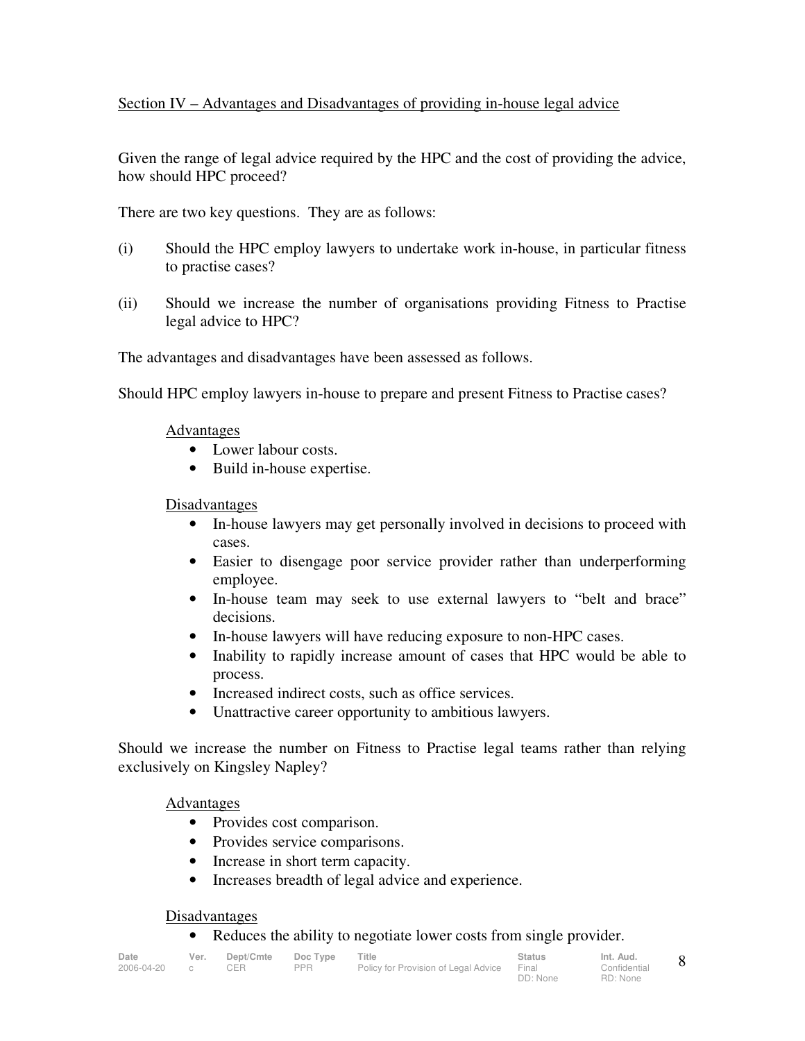## Section IV – Advantages and Disadvantages of providing in-house legal advice

Given the range of legal advice required by the HPC and the cost of providing the advice, how should HPC proceed?

There are two key questions. They are as follows:

- (i) Should the HPC employ lawyers to undertake work in-house, in particular fitness to practise cases?
- (ii) Should we increase the number of organisations providing Fitness to Practise legal advice to HPC?

The advantages and disadvantages have been assessed as follows.

Should HPC employ lawyers in-house to prepare and present Fitness to Practise cases?

### Advantages

- Lower labour costs.
- Build in-house expertise.

### Disadvantages

- In-house lawyers may get personally involved in decisions to proceed with cases.
- Easier to disengage poor service provider rather than underperforming employee.
- In-house team may seek to use external lawyers to "belt and brace" decisions.
- In-house lawyers will have reducing exposure to non-HPC cases.
- Inability to rapidly increase amount of cases that HPC would be able to process.
- Increased indirect costs, such as office services.
- Unattractive career opportunity to ambitious lawyers.

Should we increase the number on Fitness to Practise legal teams rather than relying exclusively on Kingsley Napley?

### Advantages

- Provides cost comparison.
- Provides service comparisons.
- Increase in short term capacity.
- Increases breadth of legal advice and experience.

### **Disadvantages**

• Reduces the ability to negotiate lower costs from single provider.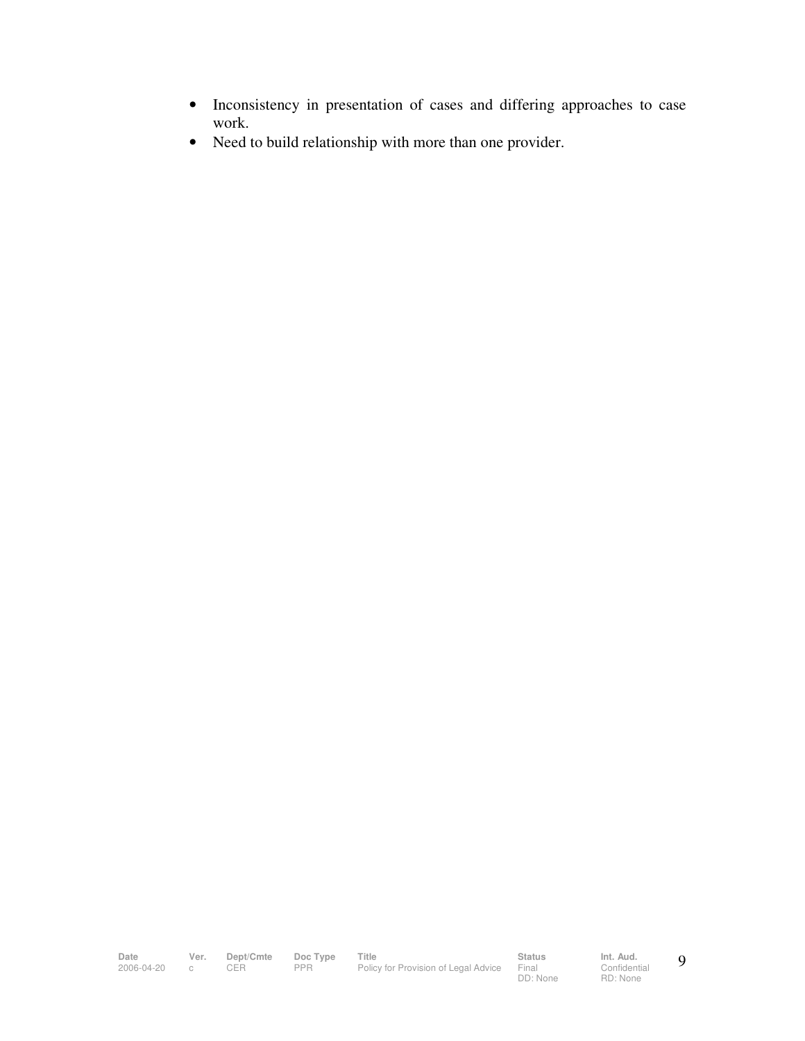- Inconsistency in presentation of cases and differing approaches to case work.
- Need to build relationship with more than one provider.

Date Ver. Dept/Cmte Doc<sup>T</sup>ype Title **Status** Status Int. Aud. 2006-04-20 c CER PPR Policy for Provision of Legal Advice Final

DD: None

**Confidential** RD: None